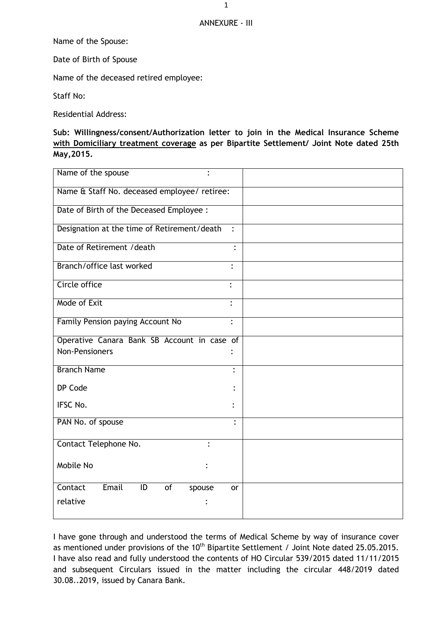## ANNEXURE - III

Name of the Spouse:

Date of Birth of Spouse

Name of the deceased retired employee:

Staff No:

Residential Address:

**Sub: Willingness/consent/Authorization letter to join in the Medical Insurance Scheme with Domiciliary treatment coverage as per Bipartite Settlement/ Joint Note dated 25th May,2015.**

| Name of the spouse<br>$\bullet$                    |                |
|----------------------------------------------------|----------------|
| Name & Staff No. deceased employee/ retiree:       |                |
| Date of Birth of the Deceased Employee :           |                |
| Designation at the time of Retirement/death        | $\ddot{\cdot}$ |
| Date of Retirement / death                         |                |
| Branch/office last worked                          | $\ddot{\cdot}$ |
| Circle office                                      | $\ddot{\cdot}$ |
| Mode of Exit                                       | $\ddot{\cdot}$ |
| Family Pension paying Account No                   | $\ddot{\cdot}$ |
| Operative Canara Bank SB Account in case of        |                |
| <b>Non-Pensioners</b>                              |                |
| <b>Branch Name</b>                                 | $\ddot{\cdot}$ |
| DP Code                                            |                |
| IFSC No.                                           |                |
| PAN No. of spouse                                  | $\ddot{\cdot}$ |
| Contact Telephone No.                              |                |
| Mobile No                                          |                |
| Email<br>Contact<br>$\overline{1}$<br>of<br>spouse | or             |
| relative                                           |                |
|                                                    |                |

I have gone through and understood the terms of Medical Scheme by way of insurance cover as mentioned under provisions of the 10<sup>th</sup> Bipartite Settlement / Joint Note dated 25.05.2015. I have also read and fully understood the contents of HO Circular 539/2015 dated 11/11/2015 and subsequent Circulars issued in the matter including the circular 448/2019 dated 30.08..2019, issued by Canara Bank.